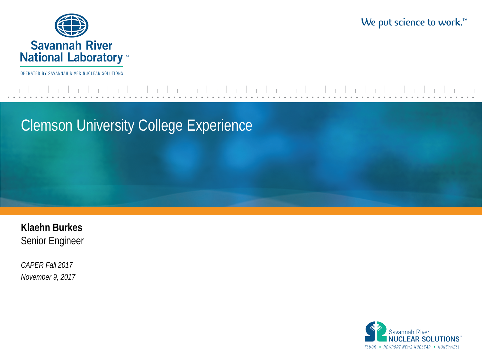

We put science to work.<sup>™</sup>

OPERATED BY SAVANNAH RIVER NUCLEAR SOLUTIONS

Clemson University College Experience

**Klaehn Burkes** Senior Engineer

*CAPER Fall 2017 November 9, 2017*

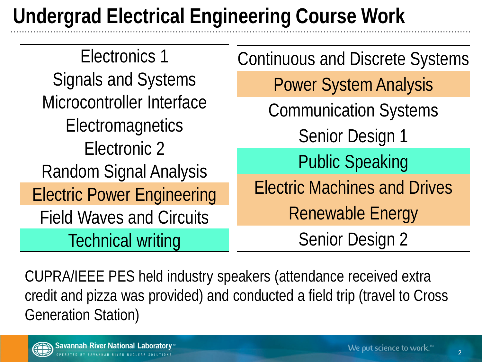## **Undergrad Electrical Engineering Course Work**

Electronics 1 Signals and Systems Microcontroller Interface **Electromagnetics** Electronic 2 Random Signal Analysis Electric Power Engineering Field Waves and Circuits Technical writing Continuous and Discrete Systems Power System Analysis Communication Systems Senior Design 1 Public Speaking Electric Machines and Drives Renewable Energy Senior Design 2

CUPRA/IEEE PES held industry speakers (attendance received extra credit and pizza was provided) and conducted a field trip (travel to Cross Generation Station)

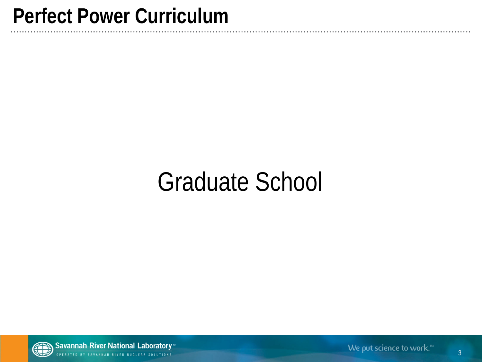### **Perfect Power Curriculum**

# Graduate School



Savannah River National Laboratory<sup>®</sup> BY SAVANNAH RIVER NUCLEAR SOLUTIONS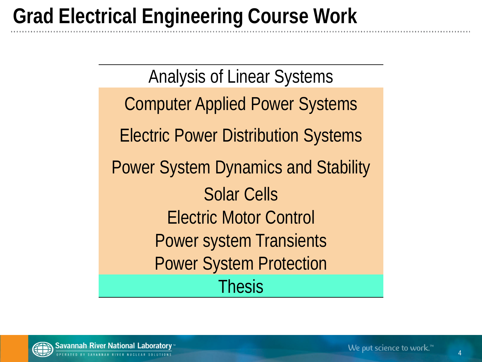## **Grad Electrical Engineering Course Work**

Analysis of Linear Systems Computer Applied Power Systems Electric Power Distribution Systems Power System Dynamics and Stability Solar Cells Electric Motor Control Power system Transients Power System Protection Thesis

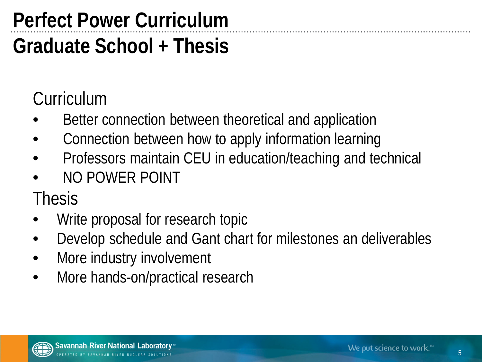## **Perfect Power Curriculum**

### **Graduate School + Thesis**

#### **Curriculum**

- Better connection between theoretical and application
- Connection between how to apply information learning
- Professors maintain CEU in education/teaching and technical
- NO POWER POINT

Thesis

- Write proposal for research topic
- Develop schedule and Gant chart for milestones an deliverables
- More industry involvement
- More hands-on/practical research